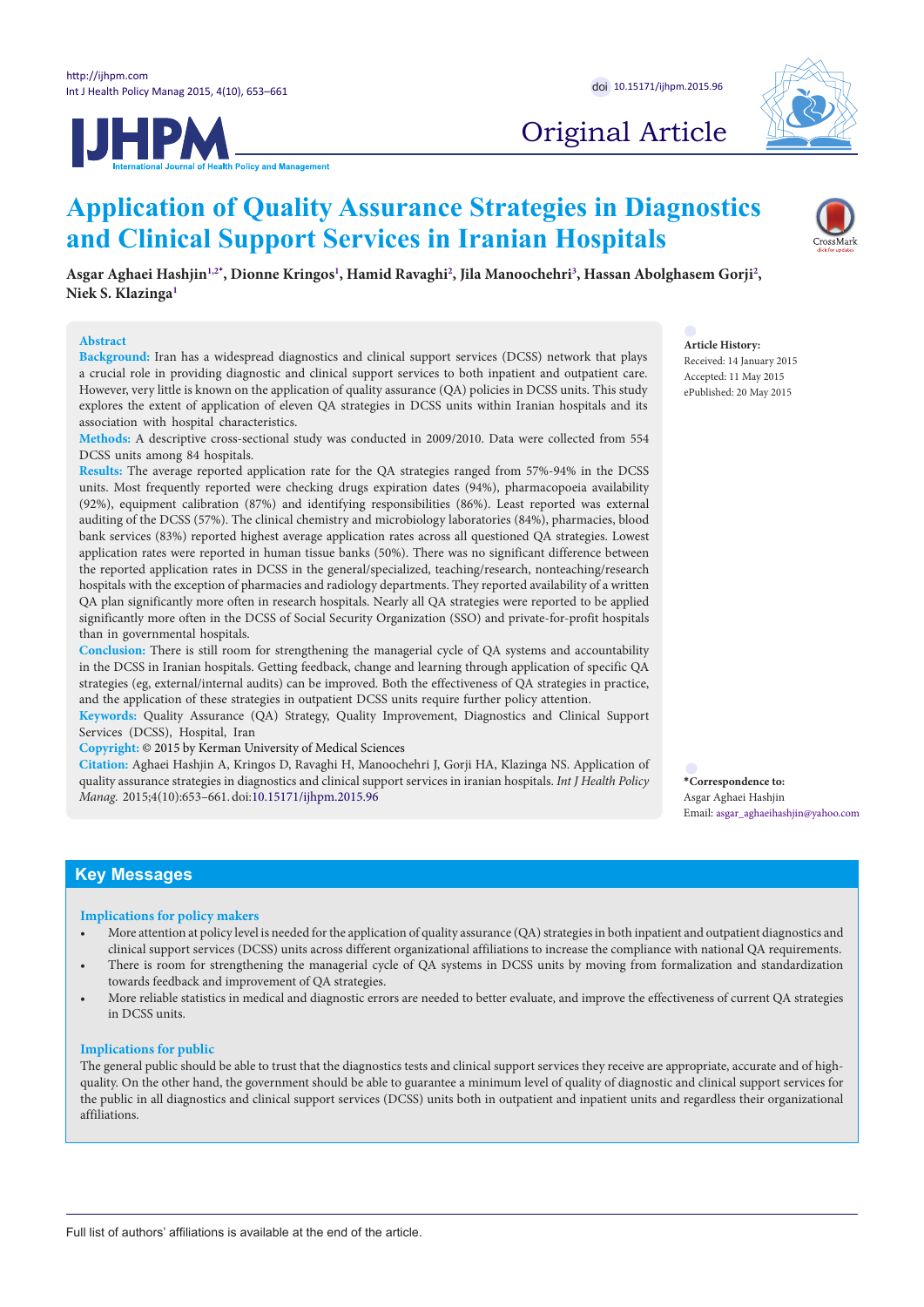



# Original Article

# **Application of Quality Assurance Strategies in Diagnostics and Clinical Support Services in Iranian Hospitals**

 $A$ sgar Aghaei Hashjin $^{1,2*}$  $^{1,2*}$  $^{1,2*}$  $^{1,2*}$  $^{1,2*}$ , Dionne Kringos $^1$  $^1$ , Hamid Ravaghi $^2$ , Jila Manoochehri $^3$  $^3$ , Hassan Abolghasem Gorji $^2$ , **Niek S. Klazing[a1](#page-7-0)**

#### **Abstract**

**Background:** Iran has a widespread diagnostics and clinical support services (DCSS) network that plays a crucial role in providing diagnostic and clinical support services to both inpatient and outpatient care. However, very little is known on the application of quality assurance (QA) policies in DCSS units. This study explores the extent of application of eleven QA strategies in DCSS units within Iranian hospitals and its association with hospital characteristics.

**Methods:** A descriptive cross-sectional study was conducted in 2009/2010. Data were collected from 554 DCSS units among 84 hospitals.

**Results:** The average reported application rate for the QA strategies ranged from 57%-94% in the DCSS units. Most frequently reported were checking drugs expiration dates (94%), pharmacopoeia availability (92%), equipment calibration (87%) and identifying responsibilities (86%). Least reported was external auditing of the DCSS (57%). The clinical chemistry and microbiology laboratories (84%), pharmacies, blood bank services (83%) reported highest average application rates across all questioned QA strategies. Lowest application rates were reported in human tissue banks (50%). There was no significant difference between the reported application rates in DCSS in the general/specialized, teaching/research, nonteaching/research hospitals with the exception of pharmacies and radiology departments. They reported availability of a written QA plan significantly more often in research hospitals. Nearly all QA strategies were reported to be applied significantly more often in the DCSS of Social Security Organization (SSO) and private-for-profit hospitals than in governmental hospitals.

**Conclusion:** There is still room for strengthening the managerial cycle of QA systems and accountability in the DCSS in Iranian hospitals. Getting feedback, change and learning through application of specific QA strategies (eg, external/internal audits) can be improved. Both the effectiveness of QA strategies in practice, and the application of these strategies in outpatient DCSS units require further policy attention.

**Keywords:** Quality Assurance (QA) Strategy, Quality Improvement, Diagnostics and Clinical Support Services (DCSS), Hospital, Iran

**Copyright:** © 2015 by Kerman University of Medical Sciences

**Citation:** Aghaei Hashjin A, Kringos D, Ravaghi H, Manoochehri J, Gorji HA, Klazinga NS. Application of quality assurance strategies in diagnostics and clinical support services in iranian hospitals. *Int J Health Policy Manag.* 2015;4(10):653–661.doi[:10.15171/ijhpm.2015.96](http://dx.doi.org/10.15171/ijhpm.2015.96)

<span id="page-0-0"></span>**\*Correspondence to:** Asgar Aghaei Hashjin Email: asgar\_aghaeihashjin@yahoo.com

# **Key Messages**

#### **Implications for policy makers**

- More attention at policy level is needed for the application of quality assurance (QA) strategies in both inpatient and outpatient diagnostics and clinical support services (DCSS) units across different organizational affiliations to increase the compliance with national QA requirements.
- There is room for strengthening the managerial cycle of QA systems in DCSS units by moving from formalization and standardization towards feedback and improvement of QA strategies.
- More reliable statistics in medical and diagnostic errors are needed to better evaluate, and improve the effectiveness of current QA strategies in DCSS units.

## **Implications for public**

The general public should be able to trust that the diagnostics tests and clinical support services they receive are appropriate, accurate and of highquality. On the other hand, the government should be able to guarantee a minimum level of quality of diagnostic and clinical support services for the public in all diagnostics and clinical support services (DCSS) units both in outpatient and inpatient units and regardless their organizational affiliations.

**Article History:** Received: 14 January 2015 Accepted: 11 May 2015 ePublished: 20 May 2015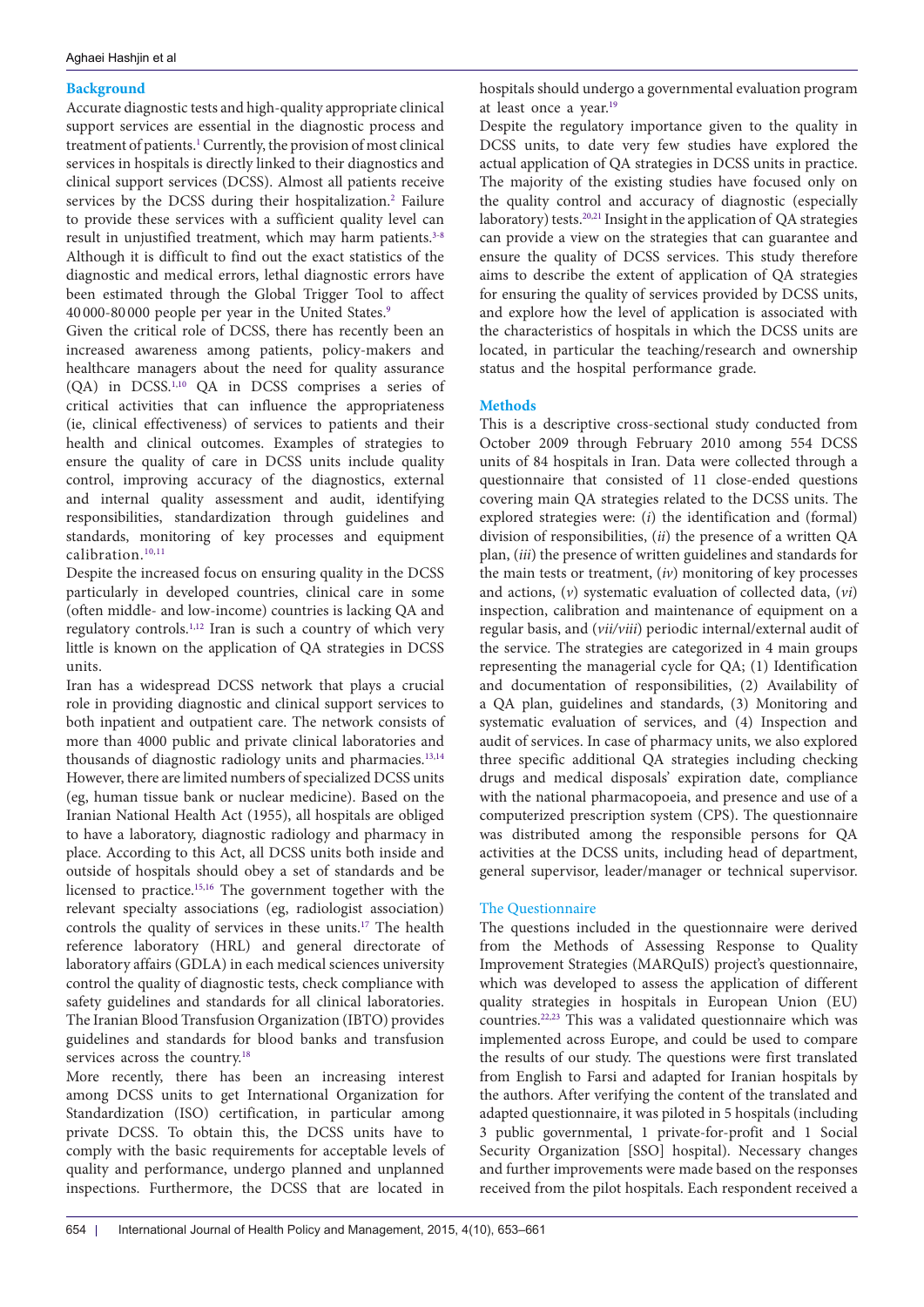# **Background**

Accurate diagnostic tests and high-quality appropriate clinical support services are essential in the diagnostic process and treatment of patients.<sup>1</sup> Currently, the provision of most clinical services in hospitals is directly linked to their diagnostics and clinical support services (DCSS). Almost all patients receive services by the DCSS during their hospitalization.<sup>[2](#page-7-4)</sup> Failure to provide these services with a sufficient quality level can result in unjustified treatment, which may harm patients.<sup>[3](#page-8-0)-[8](#page-8-1)</sup> Although it is difficult to find out the exact statistics of the diagnostic and medical errors, lethal diagnostic errors have been estimated through the Global Trigger Tool to affect 40 000-80 000 people per year in the United States.[9](#page-8-2)

Given the critical role of DCSS, there has recently been an increased awareness among patients, policy-makers and healthcare managers about the need for quality assurance (QA) in DCSS[.1](#page-7-3),[10](#page-8-3) QA in DCSS comprises a series of critical activities that can influence the appropriateness (ie, clinical effectiveness) of services to patients and their health and clinical outcomes. Examples of strategies to ensure the quality of care in DCSS units include quality control, improving accuracy of the diagnostics, external and internal quality assessment and audit, identifying responsibilities, standardization through guidelines and standards, monitoring of key processes and equipment calibration.<sup>[10](#page-8-3),[11](#page-8-4)</sup>

Despite the increased focus on ensuring quality in the DCSS particularly in developed countries, clinical care in some (often middle- and low-income) countries is lacking QA and regulatory controls.[1,](#page-7-3)[12](#page-8-5) Iran is such a country of which very little is known on the application of QA strategies in DCSS units.

Iran has a widespread DCSS network that plays a crucial role in providing diagnostic and clinical support services to both inpatient and outpatient care. The network consists of more than 4000 public and private clinical laboratories and thousands of diagnostic radiology units and pharmacies.<sup>[13](#page-8-6),[14](#page-8-7)</sup> However, there are limited numbers of specialized DCSS units (eg, human tissue bank or nuclear medicine). Based on the Iranian National Health Act (1955), all hospitals are obliged to have a laboratory, diagnostic radiology and pharmacy in place. According to this Act, all DCSS units both inside and outside of hospitals should obey a set of standards and be licensed to practice[.15](#page-8-8)[,16](#page-8-9) The government together with the relevant specialty associations (eg, radiologist association) controls the quality of services in these units[.17](#page-8-10) The health reference laboratory (HRL) and general directorate of laboratory affairs (GDLA) in each medical sciences university control the quality of diagnostic tests, check compliance with safety guidelines and standards for all clinical laboratories. The Iranian Blood Transfusion Organization (IBTO) provides guidelines and standards for blood banks and transfusion services across the country.<sup>[18](#page-8-11)</sup>

More recently, there has been an increasing interest among DCSS units to get International Organization for Standardization (ISO) certification, in particular among private DCSS. To obtain this, the DCSS units have to comply with the basic requirements for acceptable levels of quality and performance, undergo planned and unplanned inspections. Furthermore, the DCSS that are located in hospitals should undergo a governmental evaluation program at least once a year[.19](#page-8-12)

Despite the regulatory importance given to the quality in DCSS units, to date very few studies have explored the actual application of QA strategies in DCSS units in practice. The majority of the existing studies have focused only on the quality control and accuracy of diagnostic (especially laboratory) tests.<sup>20,21</sup> Insight in the application of QA strategies can provide a view on the strategies that can guarantee and ensure the quality of DCSS services. This study therefore aims to describe the extent of application of QA strategies for ensuring the quality of services provided by DCSS units, and explore how the level of application is associated with the characteristics of hospitals in which the DCSS units are located, in particular the teaching/research and ownership status and the hospital performance grade.

# **Methods**

This is a descriptive cross-sectional study conducted from October 2009 through February 2010 among 554 DCSS units of 84 hospitals in Iran. Data were collected through a questionnaire that consisted of 11 close-ended questions covering main QA strategies related to the DCSS units. The explored strategies were: (*i*) the identification and (formal) division of responsibilities, (*ii*) the presence of a written QA plan, (*iii*) the presence of written guidelines and standards for the main tests or treatment, (*iv*) monitoring of key processes and actions, (*v*) systematic evaluation of collected data, (*vi*) inspection, calibration and maintenance of equipment on a regular basis, and (*vii/viii*) periodic internal/external audit of the service. The strategies are categorized in 4 main groups representing the managerial cycle for QA; (1) Identification and documentation of responsibilities, (2) Availability of a QA plan, guidelines and standards, (3) Monitoring and systematic evaluation of services, and (4) Inspection and audit of services. In case of pharmacy units, we also explored three specific additional QA strategies including checking drugs and medical disposals' expiration date, compliance with the national pharmacopoeia, and presence and use of a computerized prescription system (CPS). The questionnaire was distributed among the responsible persons for QA activities at the DCSS units, including head of department, general supervisor, leader/manager or technical supervisor.

# The Questionnaire

The questions included in the questionnaire were derived from the Methods of Assessing Response to Quality Improvement Strategies (MARQuIS) project's questionnaire, which was developed to assess the application of different quality strategies in hospitals in European Union (EU) countries.[22](#page-8-15)[,23](#page-8-16) This was a validated questionnaire which was implemented across Europe, and could be used to compare the results of our study. The questions were first translated from English to Farsi and adapted for Iranian hospitals by the authors. After verifying the content of the translated and adapted questionnaire, it was piloted in 5 hospitals (including 3 public governmental, 1 private-for-profit and 1 Social Security Organization [SSO] hospital). Necessary changes and further improvements were made based on the responses received from the pilot hospitals. Each respondent received a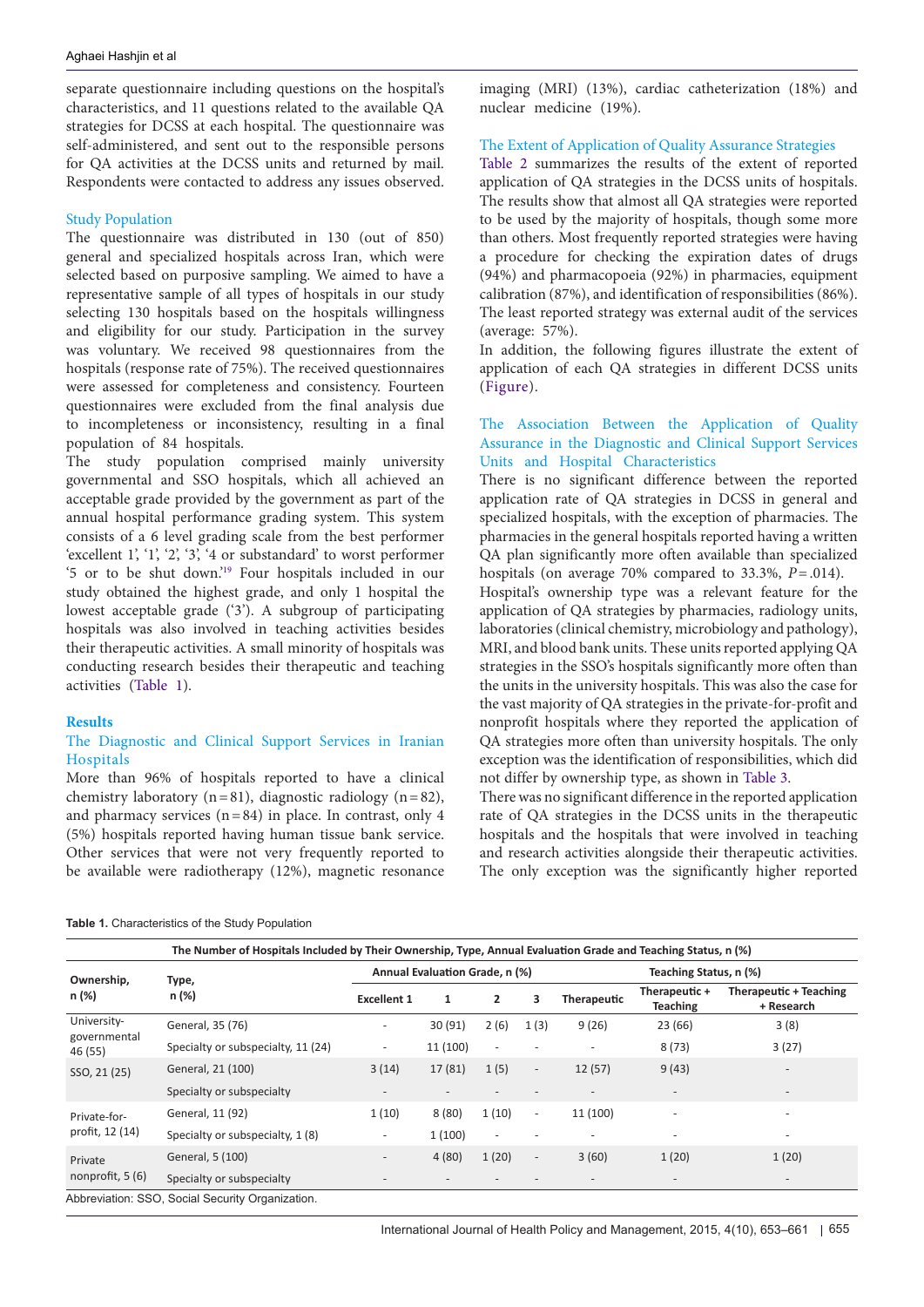separate questionnaire including questions on the hospital's characteristics, and 11 questions related to the available QA strategies for DCSS at each hospital. The questionnaire was self-administered, and sent out to the responsible persons for QA activities at the DCSS units and returned by mail. Respondents were contacted to address any issues observed.

#### Study Population

The questionnaire was distributed in 130 (out of 850) general and specialized hospitals across Iran, which were selected based on purposive sampling. We aimed to have a representative sample of all types of hospitals in our study selecting 130 hospitals based on the hospitals willingness and eligibility for our study. Participation in the survey was voluntary. We received 98 questionnaires from the hospitals (response rate of 75%). The received questionnaires were assessed for completeness and consistency. Fourteen questionnaires were excluded from the final analysis due to incompleteness or inconsistency, resulting in a final population of 84 hospitals.

The study population comprised mainly university governmental and SSO hospitals, which all achieved an acceptable grade provided by the government as part of the annual hospital performance grading system. This system consists of a 6 level grading scale from the best performer 'excellent 1', '1', '2', '3', '4 or substandard' to worst performer '5 or to be shut down.'[19](#page-8-12) Four hospitals included in our study obtained the highest grade, and only 1 hospital the lowest acceptable grade ('3'). A subgroup of participating hospitals was also involved in teaching activities besides their therapeutic activities. A small minority of hospitals was conducting research besides their therapeutic and teaching activities ([Table 1\)](#page-2-0).

#### **Results**

# The Diagnostic and Clinical Support Services in Iranian Hospitals

More than 96% of hospitals reported to have a clinical chemistry laboratory (n=81), diagnostic radiology (n=82), and pharmacy services  $(n=84)$  in place. In contrast, only 4 (5%) hospitals reported having human tissue bank service. Other services that were not very frequently reported to be available were radiotherapy (12%), magnetic resonance imaging (MRI) (13%), cardiac catheterization (18%) and nuclear medicine (19%).

#### The Extent of Application of Quality Assurance Strategies

[Table 2](#page-3-0) summarizes the results of the extent of reported application of QA strategies in the DCSS units of hospitals. The results show that almost all QA strategies were reported to be used by the majority of hospitals, though some more than others. Most frequently reported strategies were having a procedure for checking the expiration dates of drugs (94%) and pharmacopoeia (92%) in pharmacies, equipment calibration (87%), and identification of responsibilities (86%). The least reported strategy was external audit of the services (average: 57%).

In addition, the following figures illustrate the extent of application of each QA strategies in different DCSS units ([Figure\)](#page-4-0).

# The Association Between the Application of Quality Assurance in the Diagnostic and Clinical Support Services Units and Hospital Characteristics

There is no significant difference between the reported application rate of QA strategies in DCSS in general and specialized hospitals, with the exception of pharmacies. The pharmacies in the general hospitals reported having a written QA plan significantly more often available than specialized hospitals (on average 70% compared to 33.3%, *P*=.014).

Hospital's ownership type was a relevant feature for the application of QA strategies by pharmacies, radiology units, laboratories (clinical chemistry, microbiology and pathology), MRI, and blood bank units. These units reported applying QA strategies in the SSO's hospitals significantly more often than the units in the university hospitals. This was also the case for the vast majority of QA strategies in the private-for-profit and nonprofit hospitals where they reported the application of QA strategies more often than university hospitals. The only exception was the identification of responsibilities, which did not differ by ownership type, as shown in [Table 3.](#page-5-0)

There was no significant difference in the reported application rate of QA strategies in the DCSS units in the therapeutic hospitals and the hospitals that were involved in teaching and research activities alongside their therapeutic activities. The only exception was the significantly higher reported

<span id="page-2-0"></span>

|                         | The Number of Hospitals Included by Their Ownership, Type, Annual Evaluation Grade and Teaching Status, n (%) |                                                                                                                                                                                                        |                                |                          |                          |                          |                                  |                                      |  |
|-------------------------|---------------------------------------------------------------------------------------------------------------|--------------------------------------------------------------------------------------------------------------------------------------------------------------------------------------------------------|--------------------------------|--------------------------|--------------------------|--------------------------|----------------------------------|--------------------------------------|--|
| Ownership,              | Type,                                                                                                         |                                                                                                                                                                                                        | Annual Evaluation Grade, n (%) |                          |                          |                          | Teaching Status, n (%)           |                                      |  |
| n (%)                   | n (%)                                                                                                         | <b>Excellent 1</b>                                                                                                                                                                                     | 1                              | $\overline{2}$           | з                        | Therapeutic              | Therapeutic +<br><b>Teaching</b> | Therapeutic + Teaching<br>+ Research |  |
| University-             | General, 35 (76)                                                                                              | $\qquad \qquad \blacksquare$                                                                                                                                                                           | 30(91)                         | 2(6)                     | 1(3)                     | 9(26)                    | 23(66)                           | 3(8)                                 |  |
| governmental<br>46 (55) | Specialty or subspecialty, 11 (24)                                                                            | $\overline{\phantom{a}}$                                                                                                                                                                               | 11 (100)                       | $\overline{\phantom{a}}$ |                          | $\overline{\phantom{a}}$ | 8(73)                            | 3(27)                                |  |
| SSO, 21 (25)            | General, 21 (100)                                                                                             | 3(14)<br>17(81)<br>1(5)<br>12(57)<br>9(43)<br>$\overline{\phantom{a}}$<br>$\overline{\phantom{a}}$<br>$\overline{\phantom{a}}$<br>1(10)<br>8(80)<br>1(10)<br>11 (100)<br>$\overline{\phantom{a}}$<br>٠ |                                |                          |                          |                          |                                  |                                      |  |
|                         | Specialty or subspecialty                                                                                     |                                                                                                                                                                                                        |                                |                          |                          |                          |                                  |                                      |  |
| Private-for-            | General, 11 (92)                                                                                              |                                                                                                                                                                                                        |                                |                          |                          |                          |                                  |                                      |  |
| profit, 12 (14)         | Specialty or subspecialty, 1(8)                                                                               | $\overline{\phantom{a}}$                                                                                                                                                                               | 1(100)                         | $\overline{\phantom{a}}$ |                          |                          |                                  | $\overline{\phantom{a}}$             |  |
| Private                 | General, 5 (100)                                                                                              | $\overline{\phantom{a}}$                                                                                                                                                                               | 4(80)                          | 1(20)                    | $\overline{\phantom{a}}$ | 3(60)                    | 1(20)                            | 1(20)                                |  |
| nonprofit, 5 (6)        | Specialty or subspecialty                                                                                     | $\overline{\phantom{a}}$                                                                                                                                                                               | $\overline{\phantom{a}}$       |                          |                          | $\overline{\phantom{a}}$ | $\overline{\phantom{a}}$         | $\overline{\phantom{a}}$             |  |
|                         | Abbreviation: SSO, Social Security Organization.                                                              |                                                                                                                                                                                                        |                                |                          |                          |                          |                                  |                                      |  |

International Journal of Health Policy and Management, 2015, 4(10), 653-661  $\mid$  655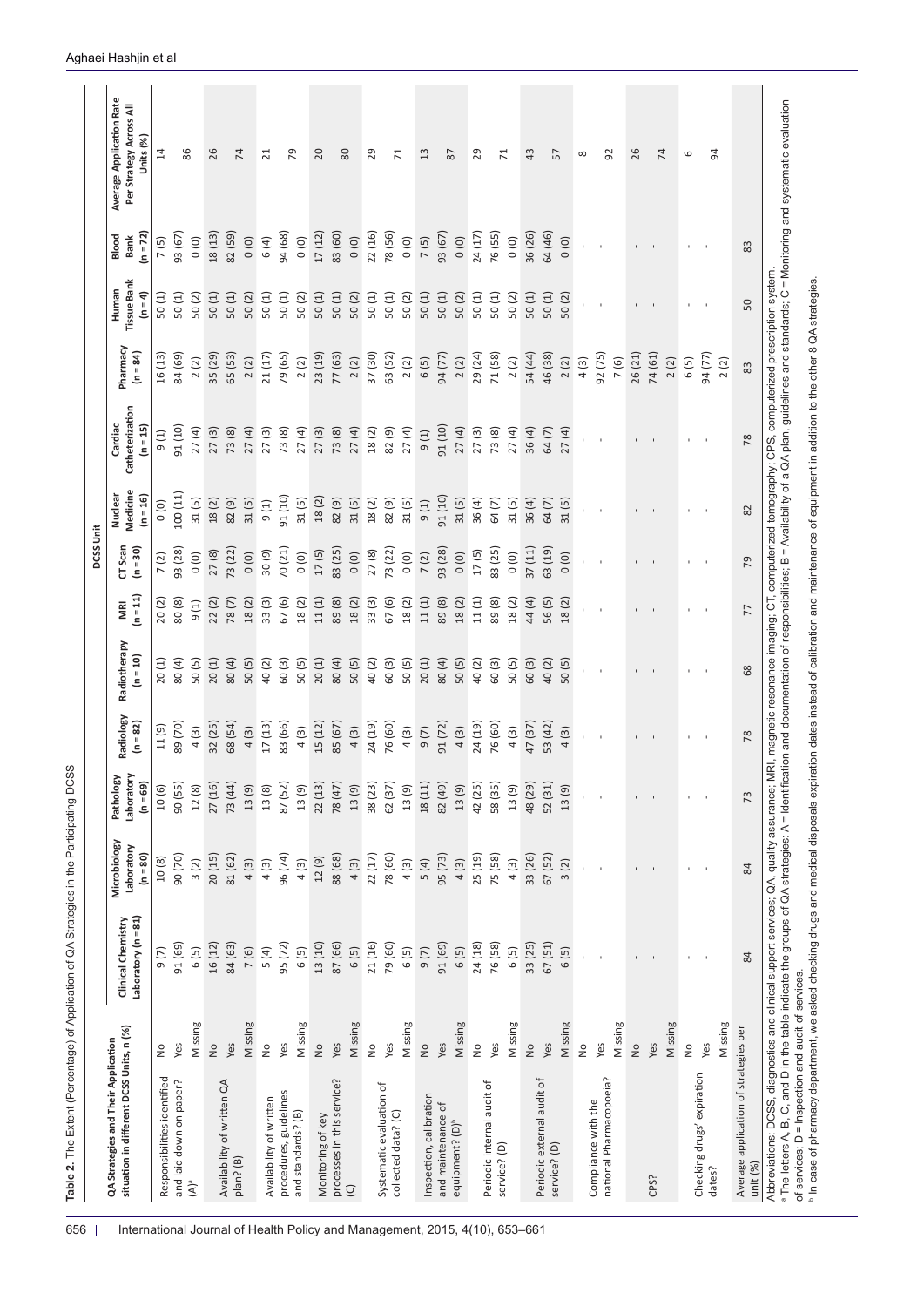<span id="page-3-0"></span>

| Units (%)<br>$\overline{1}$<br>86<br>26<br>74<br>79<br>20<br>$80\,$<br>29<br>43<br>92<br>26<br>74<br>54<br>29<br>71<br>$\frac{3}{2}$<br>$87$<br>$\overline{71}$<br>57<br>$\overline{21}$<br>6<br>$\infty$<br>83 (60)<br>78(56)<br>24 (17)<br>76(55)<br>36 (26)<br>64 (46)<br>93 (67)<br>82 (59)<br>94 (68)<br>17(12)<br>22 (16)<br>93 (67)<br>$(n = 72)$<br>18(13)<br>Blood<br>Bank<br>0(0)<br>0(0)<br>0(0)<br>0(0)<br>0(0)<br>6(4)<br>0(0)<br>7(5)<br>0(0)<br>0(0)<br>7(5)<br>83<br><b>Tissue Bank</b><br>Human<br>$(n = 4)$<br>50(1)<br>50(1)<br>50(1)<br>50(1)<br>50(1)<br>50(1)<br>50(1)<br>50(2)<br>50(1)<br>50(1)<br>50(1)<br>50(1)<br>50(1)<br>50(2)<br>50(1)<br>50(1)<br>50(2)<br>50(2)<br>50(1)<br>50(2)<br>50(2)<br>50(2)<br>50(1)<br>50(2)<br>50<br>Pharmacy<br>$(n = 84)$<br>23 (19)<br>29 (24)<br>54 (44)<br>26 (21)<br>84 (69)<br>35 (29)<br>21 (17)<br>79 (65)<br>77 (63)<br>37 (30)<br>63 (52)<br>71 (58)<br>46 (38)<br>92 (75)<br>74 (61)<br>94 (77)<br>16(13)<br>65 (53)<br>94 (77)<br>2(2)<br>2(2)<br>2(2)<br>2(2)<br>2(2)<br>2(2)<br>2(2)<br>6(5)<br>2(2)<br>4(3)<br>7(6)<br>2(2)<br>6(5)<br>2(2)<br>83<br>Catheterization<br>Cardiac<br>(n = 15)<br>$(01)$ 19<br>91 (10)<br>27(4)<br>27(3)<br>27(4)<br>27(3)<br>27(4)<br>82 (9)<br>27(4)<br>27(4)<br>27(4)<br>36 (4)<br>73(8)<br>27(4)<br>27(3)<br>73(8)<br>73 (8)<br>18(2)<br>27(3)<br>73(8)<br>9(1)<br>64(7)<br>27(4)<br>9(1)<br>78<br>Medicine<br>100 (11)<br>Nuclear<br>$(n = 16)$<br>91 (10)<br>91 (10)<br>31(5)<br>82 (9)<br>31(5)<br>18(2)<br>82 (9)<br>31(5)<br>36(4)<br>18(2)<br>31(5)<br>18(2)<br>82 (9)<br>31(5)<br>64(7)<br>31(5)<br>36(4)<br>31(5)<br>9(1)<br>64(7)<br>$\begin{pmatrix} 0 \\ 0 \end{pmatrix}$<br>9(1)<br>31(5)<br>82<br>CT Scan<br>$(n = 30)$<br>70 (21)<br>83 (25)<br>73 (22)<br>83 (25)<br>37(11)<br>63 (19)<br>93 (28)<br>93 (28)<br>73 (22)<br>17(5)<br>27(8)<br>30(9)<br>27(8)<br>17(5)<br>0(0)<br>0(0)<br>(0)<br>0(0)<br>0(0)<br>(0)<br>0(0)<br>7(2)<br>0(0)<br>7(2)<br>79<br>$\mathbf{I}$<br>$(n = 11)$<br>$11(1)$<br>18(2)<br>67(6)<br>11(1)<br>11(1)<br>44(4)<br>80(8)<br>22(2)<br>18(2)<br>33(3)<br>67(6)<br>18(2)<br>89(8)<br>33(3)<br>18(2)<br>89(8)<br>18(2)<br>89(8)<br>18(2)<br>78(7)<br>56(5)<br>20(2)<br>9(1)<br>18(2)<br>MRI<br>77<br>Radiotherapy<br>$(n = 10)$<br>20(1)<br>80 (4)<br>50(5)<br>20(1)<br>20(1)<br>80(4)<br>50(5)<br>60(3)<br>50(5)<br>80 (4)<br>50(5)<br>40(2)<br>60(3)<br>60(3)<br>80 (4)<br>50(5)<br>40(2)<br>60(3)<br>50(5)<br>40(2)<br>50(5)<br>40(2)<br>50(5)<br>20(1)<br>68<br>Radiology<br>24 (19)<br>53 (42)<br>$(n = 82)$<br>89 (70)<br>32 (25)<br>68 (54)<br>17(13)<br>83 (66)<br>15 (12)<br>85 (67)<br>24 (19)<br>76 (60)<br>91 (72)<br>76 (60)<br>47(37)<br>11(9)<br>4(3)<br>4(3)<br>4(3)<br>4(3)<br>4(3)<br>4(3)<br>9(7)<br>4(3)<br>4(3)<br>78<br>$\mathbf{I}$<br>Laboratory<br>Pathology<br>$(n = 69)$<br>90 (55)<br>18(11)<br>48 (29)<br>52 (31)<br>27 (16)<br>73 (44)<br>22(13)<br>62 (37)<br>82 (49)<br>42 (25)<br>58 (35)<br>87 (52)<br>78 (47)<br>38 (23)<br>10 (6)<br>$12(8)$<br>13(9)<br>13(8)<br>13(9)<br>13(9)<br>13(9)<br>13(9)<br>13(9)<br>13(9)<br>73<br>$\mathbf{L}$<br>$\,$<br>Microbiology<br>Laboratory<br>$(n = 80)$<br>20(15)<br>88 (68)<br>78 (60)<br>25 (19)<br>33 (26)<br>90 (70)<br>81 (62)<br>96 (74)<br>22(17)<br>95 (73)<br>75 (58)<br>67(52)<br>12(9)<br>10(8)<br>4(3)<br>4(3)<br>5(4)<br>4(3)<br>4(3)<br>4(3)<br>4(3)<br>4(3)<br>3(2)<br>3(2)<br>84<br>Laboratory ( $n = 81$ )<br>Clinical Chemistry<br>91 (69)<br>13 (10)<br>87 (66)<br>79 (60)<br>24 (18)<br>67(51)<br>16 (12)<br>95 (72)<br>21 (16)<br>91 (69)<br>76(58)<br>33 (25)<br>84 (63)<br>6(5)<br>6(5)<br>7(6)<br>6(5)<br>6(5)<br>5(4)<br>6(5)<br>9(7)<br>6(5)<br>6(5)<br>9(7)<br>84<br>Missing<br>Missing<br>Missing<br>Missing<br>Missing<br>Missing<br>Missing<br>Missing<br>Missing<br>Missing<br>Missing<br>Average application of strategies per<br>situation in different DCSS Units, n (%)<br>QA Strategies and Their Application<br>Yes<br>Yes<br>Yes<br>Yes<br>Yes<br>Yes<br>Yes<br>$\frac{1}{2}$<br>Yes<br>Yes<br>Yes<br>Yes<br>$\frac{1}{2}$<br>$\frac{1}{2}$<br>$\frac{1}{2}$<br>$\frac{1}{2}$<br>$\frac{1}{2}$<br>$\frac{1}{2}$<br>$\frac{1}{2}$<br>$\frac{1}{2}$<br>$\frac{1}{2}$<br>$\frac{1}{2}$<br>Checking drugs' expiration<br>national Pharmacopoeia?<br>Responsibilities identified<br>processes in this service?<br>Periodic external audit of<br>and laid down on paper?<br>Availability of written QA<br>Periodic internal audit of<br>Systematic evaluation of<br>procedures, guidelines<br>Inspection, calibration<br>Availability of written<br>Compliance with the<br>and maintenance of<br>collected data? (C)<br>and standards? (B)<br>Monitoring of key<br>equipment? (D) <sup>b</sup><br>service? (D)<br>service? (D)<br>plan? (B)<br>dates?<br>CPS?<br>$(A)^a$<br>$\odot$ |          |  |  |  | DCSS Unit |  |  |                                                     |
|-----------------------------------------------------------------------------------------------------------------------------------------------------------------------------------------------------------------------------------------------------------------------------------------------------------------------------------------------------------------------------------------------------------------------------------------------------------------------------------------------------------------------------------------------------------------------------------------------------------------------------------------------------------------------------------------------------------------------------------------------------------------------------------------------------------------------------------------------------------------------------------------------------------------------------------------------------------------------------------------------------------------------------------------------------------------------------------------------------------------------------------------------------------------------------------------------------------------------------------------------------------------------------------------------------------------------------------------------------------------------------------------------------------------------------------------------------------------------------------------------------------------------------------------------------------------------------------------------------------------------------------------------------------------------------------------------------------------------------------------------------------------------------------------------------------------------------------------------------------------------------------------------------------------------------------------------------------------------------------------------------------------------------------------------------------------------------------------------------------------------------------------------------------------------------------------------------------------------------------------------------------------------------------------------------------------------------------------------------------------------------------------------------------------------------------------------------------------------------------------------------------------------------------------------------------------------------------------------------------------------------------------------------------------------------------------------------------------------------------------------------------------------------------------------------------------------------------------------------------------------------------------------------------------------------------------------------------------------------------------------------------------------------------------------------------------------------------------------------------------------------------------------------------------------------------------------------------------------------------------------------------------------------------------------------------------------------------------------------------------------------------------------------------------------------------------------------------------------------------------------------------------------------------------------------------------------------------------------------------------------------------------------------------------------------------------------------------------------------------------------------------------------------------------------------------------------------------------------------------------------------------------------------------------------------------------------------------------------------------------------------------------------------------------------------------------------------------------------------------------------------------------------------------------------------------------------------------------------------------------------------------------------------------------------------------------------------------------------------------------------------------------------------------------------------------------------------------------------------------------------------------------------------------------------------------------------------------------------------------------------------------------------------------------------------------------------------------------------------------------------------------------------------------------------------------------------------------------------------|----------|--|--|--|-----------|--|--|-----------------------------------------------------|
|                                                                                                                                                                                                                                                                                                                                                                                                                                                                                                                                                                                                                                                                                                                                                                                                                                                                                                                                                                                                                                                                                                                                                                                                                                                                                                                                                                                                                                                                                                                                                                                                                                                                                                                                                                                                                                                                                                                                                                                                                                                                                                                                                                                                                                                                                                                                                                                                                                                                                                                                                                                                                                                                                                                                                                                                                                                                                                                                                                                                                                                                                                                                                                                                                                                                                                                                                                                                                                                                                                                                                                                                                                                                                                                                                                                                                                                                                                                                                                                                                                                                                                                                                                                                                                                                                                                                                                                                                                                                                                                                                                                                                                                                                                                                                                                                                                                     |          |  |  |  |           |  |  | Average Application Rate<br>Per Strategy Across All |
|                                                                                                                                                                                                                                                                                                                                                                                                                                                                                                                                                                                                                                                                                                                                                                                                                                                                                                                                                                                                                                                                                                                                                                                                                                                                                                                                                                                                                                                                                                                                                                                                                                                                                                                                                                                                                                                                                                                                                                                                                                                                                                                                                                                                                                                                                                                                                                                                                                                                                                                                                                                                                                                                                                                                                                                                                                                                                                                                                                                                                                                                                                                                                                                                                                                                                                                                                                                                                                                                                                                                                                                                                                                                                                                                                                                                                                                                                                                                                                                                                                                                                                                                                                                                                                                                                                                                                                                                                                                                                                                                                                                                                                                                                                                                                                                                                                                     |          |  |  |  |           |  |  |                                                     |
|                                                                                                                                                                                                                                                                                                                                                                                                                                                                                                                                                                                                                                                                                                                                                                                                                                                                                                                                                                                                                                                                                                                                                                                                                                                                                                                                                                                                                                                                                                                                                                                                                                                                                                                                                                                                                                                                                                                                                                                                                                                                                                                                                                                                                                                                                                                                                                                                                                                                                                                                                                                                                                                                                                                                                                                                                                                                                                                                                                                                                                                                                                                                                                                                                                                                                                                                                                                                                                                                                                                                                                                                                                                                                                                                                                                                                                                                                                                                                                                                                                                                                                                                                                                                                                                                                                                                                                                                                                                                                                                                                                                                                                                                                                                                                                                                                                                     |          |  |  |  |           |  |  |                                                     |
|                                                                                                                                                                                                                                                                                                                                                                                                                                                                                                                                                                                                                                                                                                                                                                                                                                                                                                                                                                                                                                                                                                                                                                                                                                                                                                                                                                                                                                                                                                                                                                                                                                                                                                                                                                                                                                                                                                                                                                                                                                                                                                                                                                                                                                                                                                                                                                                                                                                                                                                                                                                                                                                                                                                                                                                                                                                                                                                                                                                                                                                                                                                                                                                                                                                                                                                                                                                                                                                                                                                                                                                                                                                                                                                                                                                                                                                                                                                                                                                                                                                                                                                                                                                                                                                                                                                                                                                                                                                                                                                                                                                                                                                                                                                                                                                                                                                     |          |  |  |  |           |  |  |                                                     |
|                                                                                                                                                                                                                                                                                                                                                                                                                                                                                                                                                                                                                                                                                                                                                                                                                                                                                                                                                                                                                                                                                                                                                                                                                                                                                                                                                                                                                                                                                                                                                                                                                                                                                                                                                                                                                                                                                                                                                                                                                                                                                                                                                                                                                                                                                                                                                                                                                                                                                                                                                                                                                                                                                                                                                                                                                                                                                                                                                                                                                                                                                                                                                                                                                                                                                                                                                                                                                                                                                                                                                                                                                                                                                                                                                                                                                                                                                                                                                                                                                                                                                                                                                                                                                                                                                                                                                                                                                                                                                                                                                                                                                                                                                                                                                                                                                                                     |          |  |  |  |           |  |  |                                                     |
|                                                                                                                                                                                                                                                                                                                                                                                                                                                                                                                                                                                                                                                                                                                                                                                                                                                                                                                                                                                                                                                                                                                                                                                                                                                                                                                                                                                                                                                                                                                                                                                                                                                                                                                                                                                                                                                                                                                                                                                                                                                                                                                                                                                                                                                                                                                                                                                                                                                                                                                                                                                                                                                                                                                                                                                                                                                                                                                                                                                                                                                                                                                                                                                                                                                                                                                                                                                                                                                                                                                                                                                                                                                                                                                                                                                                                                                                                                                                                                                                                                                                                                                                                                                                                                                                                                                                                                                                                                                                                                                                                                                                                                                                                                                                                                                                                                                     |          |  |  |  |           |  |  |                                                     |
|                                                                                                                                                                                                                                                                                                                                                                                                                                                                                                                                                                                                                                                                                                                                                                                                                                                                                                                                                                                                                                                                                                                                                                                                                                                                                                                                                                                                                                                                                                                                                                                                                                                                                                                                                                                                                                                                                                                                                                                                                                                                                                                                                                                                                                                                                                                                                                                                                                                                                                                                                                                                                                                                                                                                                                                                                                                                                                                                                                                                                                                                                                                                                                                                                                                                                                                                                                                                                                                                                                                                                                                                                                                                                                                                                                                                                                                                                                                                                                                                                                                                                                                                                                                                                                                                                                                                                                                                                                                                                                                                                                                                                                                                                                                                                                                                                                                     |          |  |  |  |           |  |  |                                                     |
|                                                                                                                                                                                                                                                                                                                                                                                                                                                                                                                                                                                                                                                                                                                                                                                                                                                                                                                                                                                                                                                                                                                                                                                                                                                                                                                                                                                                                                                                                                                                                                                                                                                                                                                                                                                                                                                                                                                                                                                                                                                                                                                                                                                                                                                                                                                                                                                                                                                                                                                                                                                                                                                                                                                                                                                                                                                                                                                                                                                                                                                                                                                                                                                                                                                                                                                                                                                                                                                                                                                                                                                                                                                                                                                                                                                                                                                                                                                                                                                                                                                                                                                                                                                                                                                                                                                                                                                                                                                                                                                                                                                                                                                                                                                                                                                                                                                     |          |  |  |  |           |  |  |                                                     |
|                                                                                                                                                                                                                                                                                                                                                                                                                                                                                                                                                                                                                                                                                                                                                                                                                                                                                                                                                                                                                                                                                                                                                                                                                                                                                                                                                                                                                                                                                                                                                                                                                                                                                                                                                                                                                                                                                                                                                                                                                                                                                                                                                                                                                                                                                                                                                                                                                                                                                                                                                                                                                                                                                                                                                                                                                                                                                                                                                                                                                                                                                                                                                                                                                                                                                                                                                                                                                                                                                                                                                                                                                                                                                                                                                                                                                                                                                                                                                                                                                                                                                                                                                                                                                                                                                                                                                                                                                                                                                                                                                                                                                                                                                                                                                                                                                                                     |          |  |  |  |           |  |  |                                                     |
|                                                                                                                                                                                                                                                                                                                                                                                                                                                                                                                                                                                                                                                                                                                                                                                                                                                                                                                                                                                                                                                                                                                                                                                                                                                                                                                                                                                                                                                                                                                                                                                                                                                                                                                                                                                                                                                                                                                                                                                                                                                                                                                                                                                                                                                                                                                                                                                                                                                                                                                                                                                                                                                                                                                                                                                                                                                                                                                                                                                                                                                                                                                                                                                                                                                                                                                                                                                                                                                                                                                                                                                                                                                                                                                                                                                                                                                                                                                                                                                                                                                                                                                                                                                                                                                                                                                                                                                                                                                                                                                                                                                                                                                                                                                                                                                                                                                     |          |  |  |  |           |  |  |                                                     |
|                                                                                                                                                                                                                                                                                                                                                                                                                                                                                                                                                                                                                                                                                                                                                                                                                                                                                                                                                                                                                                                                                                                                                                                                                                                                                                                                                                                                                                                                                                                                                                                                                                                                                                                                                                                                                                                                                                                                                                                                                                                                                                                                                                                                                                                                                                                                                                                                                                                                                                                                                                                                                                                                                                                                                                                                                                                                                                                                                                                                                                                                                                                                                                                                                                                                                                                                                                                                                                                                                                                                                                                                                                                                                                                                                                                                                                                                                                                                                                                                                                                                                                                                                                                                                                                                                                                                                                                                                                                                                                                                                                                                                                                                                                                                                                                                                                                     |          |  |  |  |           |  |  |                                                     |
|                                                                                                                                                                                                                                                                                                                                                                                                                                                                                                                                                                                                                                                                                                                                                                                                                                                                                                                                                                                                                                                                                                                                                                                                                                                                                                                                                                                                                                                                                                                                                                                                                                                                                                                                                                                                                                                                                                                                                                                                                                                                                                                                                                                                                                                                                                                                                                                                                                                                                                                                                                                                                                                                                                                                                                                                                                                                                                                                                                                                                                                                                                                                                                                                                                                                                                                                                                                                                                                                                                                                                                                                                                                                                                                                                                                                                                                                                                                                                                                                                                                                                                                                                                                                                                                                                                                                                                                                                                                                                                                                                                                                                                                                                                                                                                                                                                                     |          |  |  |  |           |  |  |                                                     |
|                                                                                                                                                                                                                                                                                                                                                                                                                                                                                                                                                                                                                                                                                                                                                                                                                                                                                                                                                                                                                                                                                                                                                                                                                                                                                                                                                                                                                                                                                                                                                                                                                                                                                                                                                                                                                                                                                                                                                                                                                                                                                                                                                                                                                                                                                                                                                                                                                                                                                                                                                                                                                                                                                                                                                                                                                                                                                                                                                                                                                                                                                                                                                                                                                                                                                                                                                                                                                                                                                                                                                                                                                                                                                                                                                                                                                                                                                                                                                                                                                                                                                                                                                                                                                                                                                                                                                                                                                                                                                                                                                                                                                                                                                                                                                                                                                                                     |          |  |  |  |           |  |  |                                                     |
|                                                                                                                                                                                                                                                                                                                                                                                                                                                                                                                                                                                                                                                                                                                                                                                                                                                                                                                                                                                                                                                                                                                                                                                                                                                                                                                                                                                                                                                                                                                                                                                                                                                                                                                                                                                                                                                                                                                                                                                                                                                                                                                                                                                                                                                                                                                                                                                                                                                                                                                                                                                                                                                                                                                                                                                                                                                                                                                                                                                                                                                                                                                                                                                                                                                                                                                                                                                                                                                                                                                                                                                                                                                                                                                                                                                                                                                                                                                                                                                                                                                                                                                                                                                                                                                                                                                                                                                                                                                                                                                                                                                                                                                                                                                                                                                                                                                     |          |  |  |  |           |  |  |                                                     |
|                                                                                                                                                                                                                                                                                                                                                                                                                                                                                                                                                                                                                                                                                                                                                                                                                                                                                                                                                                                                                                                                                                                                                                                                                                                                                                                                                                                                                                                                                                                                                                                                                                                                                                                                                                                                                                                                                                                                                                                                                                                                                                                                                                                                                                                                                                                                                                                                                                                                                                                                                                                                                                                                                                                                                                                                                                                                                                                                                                                                                                                                                                                                                                                                                                                                                                                                                                                                                                                                                                                                                                                                                                                                                                                                                                                                                                                                                                                                                                                                                                                                                                                                                                                                                                                                                                                                                                                                                                                                                                                                                                                                                                                                                                                                                                                                                                                     |          |  |  |  |           |  |  |                                                     |
|                                                                                                                                                                                                                                                                                                                                                                                                                                                                                                                                                                                                                                                                                                                                                                                                                                                                                                                                                                                                                                                                                                                                                                                                                                                                                                                                                                                                                                                                                                                                                                                                                                                                                                                                                                                                                                                                                                                                                                                                                                                                                                                                                                                                                                                                                                                                                                                                                                                                                                                                                                                                                                                                                                                                                                                                                                                                                                                                                                                                                                                                                                                                                                                                                                                                                                                                                                                                                                                                                                                                                                                                                                                                                                                                                                                                                                                                                                                                                                                                                                                                                                                                                                                                                                                                                                                                                                                                                                                                                                                                                                                                                                                                                                                                                                                                                                                     |          |  |  |  |           |  |  |                                                     |
|                                                                                                                                                                                                                                                                                                                                                                                                                                                                                                                                                                                                                                                                                                                                                                                                                                                                                                                                                                                                                                                                                                                                                                                                                                                                                                                                                                                                                                                                                                                                                                                                                                                                                                                                                                                                                                                                                                                                                                                                                                                                                                                                                                                                                                                                                                                                                                                                                                                                                                                                                                                                                                                                                                                                                                                                                                                                                                                                                                                                                                                                                                                                                                                                                                                                                                                                                                                                                                                                                                                                                                                                                                                                                                                                                                                                                                                                                                                                                                                                                                                                                                                                                                                                                                                                                                                                                                                                                                                                                                                                                                                                                                                                                                                                                                                                                                                     |          |  |  |  |           |  |  |                                                     |
|                                                                                                                                                                                                                                                                                                                                                                                                                                                                                                                                                                                                                                                                                                                                                                                                                                                                                                                                                                                                                                                                                                                                                                                                                                                                                                                                                                                                                                                                                                                                                                                                                                                                                                                                                                                                                                                                                                                                                                                                                                                                                                                                                                                                                                                                                                                                                                                                                                                                                                                                                                                                                                                                                                                                                                                                                                                                                                                                                                                                                                                                                                                                                                                                                                                                                                                                                                                                                                                                                                                                                                                                                                                                                                                                                                                                                                                                                                                                                                                                                                                                                                                                                                                                                                                                                                                                                                                                                                                                                                                                                                                                                                                                                                                                                                                                                                                     |          |  |  |  |           |  |  |                                                     |
|                                                                                                                                                                                                                                                                                                                                                                                                                                                                                                                                                                                                                                                                                                                                                                                                                                                                                                                                                                                                                                                                                                                                                                                                                                                                                                                                                                                                                                                                                                                                                                                                                                                                                                                                                                                                                                                                                                                                                                                                                                                                                                                                                                                                                                                                                                                                                                                                                                                                                                                                                                                                                                                                                                                                                                                                                                                                                                                                                                                                                                                                                                                                                                                                                                                                                                                                                                                                                                                                                                                                                                                                                                                                                                                                                                                                                                                                                                                                                                                                                                                                                                                                                                                                                                                                                                                                                                                                                                                                                                                                                                                                                                                                                                                                                                                                                                                     |          |  |  |  |           |  |  |                                                     |
|                                                                                                                                                                                                                                                                                                                                                                                                                                                                                                                                                                                                                                                                                                                                                                                                                                                                                                                                                                                                                                                                                                                                                                                                                                                                                                                                                                                                                                                                                                                                                                                                                                                                                                                                                                                                                                                                                                                                                                                                                                                                                                                                                                                                                                                                                                                                                                                                                                                                                                                                                                                                                                                                                                                                                                                                                                                                                                                                                                                                                                                                                                                                                                                                                                                                                                                                                                                                                                                                                                                                                                                                                                                                                                                                                                                                                                                                                                                                                                                                                                                                                                                                                                                                                                                                                                                                                                                                                                                                                                                                                                                                                                                                                                                                                                                                                                                     |          |  |  |  |           |  |  |                                                     |
|                                                                                                                                                                                                                                                                                                                                                                                                                                                                                                                                                                                                                                                                                                                                                                                                                                                                                                                                                                                                                                                                                                                                                                                                                                                                                                                                                                                                                                                                                                                                                                                                                                                                                                                                                                                                                                                                                                                                                                                                                                                                                                                                                                                                                                                                                                                                                                                                                                                                                                                                                                                                                                                                                                                                                                                                                                                                                                                                                                                                                                                                                                                                                                                                                                                                                                                                                                                                                                                                                                                                                                                                                                                                                                                                                                                                                                                                                                                                                                                                                                                                                                                                                                                                                                                                                                                                                                                                                                                                                                                                                                                                                                                                                                                                                                                                                                                     |          |  |  |  |           |  |  |                                                     |
|                                                                                                                                                                                                                                                                                                                                                                                                                                                                                                                                                                                                                                                                                                                                                                                                                                                                                                                                                                                                                                                                                                                                                                                                                                                                                                                                                                                                                                                                                                                                                                                                                                                                                                                                                                                                                                                                                                                                                                                                                                                                                                                                                                                                                                                                                                                                                                                                                                                                                                                                                                                                                                                                                                                                                                                                                                                                                                                                                                                                                                                                                                                                                                                                                                                                                                                                                                                                                                                                                                                                                                                                                                                                                                                                                                                                                                                                                                                                                                                                                                                                                                                                                                                                                                                                                                                                                                                                                                                                                                                                                                                                                                                                                                                                                                                                                                                     |          |  |  |  |           |  |  |                                                     |
|                                                                                                                                                                                                                                                                                                                                                                                                                                                                                                                                                                                                                                                                                                                                                                                                                                                                                                                                                                                                                                                                                                                                                                                                                                                                                                                                                                                                                                                                                                                                                                                                                                                                                                                                                                                                                                                                                                                                                                                                                                                                                                                                                                                                                                                                                                                                                                                                                                                                                                                                                                                                                                                                                                                                                                                                                                                                                                                                                                                                                                                                                                                                                                                                                                                                                                                                                                                                                                                                                                                                                                                                                                                                                                                                                                                                                                                                                                                                                                                                                                                                                                                                                                                                                                                                                                                                                                                                                                                                                                                                                                                                                                                                                                                                                                                                                                                     |          |  |  |  |           |  |  |                                                     |
|                                                                                                                                                                                                                                                                                                                                                                                                                                                                                                                                                                                                                                                                                                                                                                                                                                                                                                                                                                                                                                                                                                                                                                                                                                                                                                                                                                                                                                                                                                                                                                                                                                                                                                                                                                                                                                                                                                                                                                                                                                                                                                                                                                                                                                                                                                                                                                                                                                                                                                                                                                                                                                                                                                                                                                                                                                                                                                                                                                                                                                                                                                                                                                                                                                                                                                                                                                                                                                                                                                                                                                                                                                                                                                                                                                                                                                                                                                                                                                                                                                                                                                                                                                                                                                                                                                                                                                                                                                                                                                                                                                                                                                                                                                                                                                                                                                                     |          |  |  |  |           |  |  |                                                     |
|                                                                                                                                                                                                                                                                                                                                                                                                                                                                                                                                                                                                                                                                                                                                                                                                                                                                                                                                                                                                                                                                                                                                                                                                                                                                                                                                                                                                                                                                                                                                                                                                                                                                                                                                                                                                                                                                                                                                                                                                                                                                                                                                                                                                                                                                                                                                                                                                                                                                                                                                                                                                                                                                                                                                                                                                                                                                                                                                                                                                                                                                                                                                                                                                                                                                                                                                                                                                                                                                                                                                                                                                                                                                                                                                                                                                                                                                                                                                                                                                                                                                                                                                                                                                                                                                                                                                                                                                                                                                                                                                                                                                                                                                                                                                                                                                                                                     |          |  |  |  |           |  |  |                                                     |
|                                                                                                                                                                                                                                                                                                                                                                                                                                                                                                                                                                                                                                                                                                                                                                                                                                                                                                                                                                                                                                                                                                                                                                                                                                                                                                                                                                                                                                                                                                                                                                                                                                                                                                                                                                                                                                                                                                                                                                                                                                                                                                                                                                                                                                                                                                                                                                                                                                                                                                                                                                                                                                                                                                                                                                                                                                                                                                                                                                                                                                                                                                                                                                                                                                                                                                                                                                                                                                                                                                                                                                                                                                                                                                                                                                                                                                                                                                                                                                                                                                                                                                                                                                                                                                                                                                                                                                                                                                                                                                                                                                                                                                                                                                                                                                                                                                                     |          |  |  |  |           |  |  |                                                     |
|                                                                                                                                                                                                                                                                                                                                                                                                                                                                                                                                                                                                                                                                                                                                                                                                                                                                                                                                                                                                                                                                                                                                                                                                                                                                                                                                                                                                                                                                                                                                                                                                                                                                                                                                                                                                                                                                                                                                                                                                                                                                                                                                                                                                                                                                                                                                                                                                                                                                                                                                                                                                                                                                                                                                                                                                                                                                                                                                                                                                                                                                                                                                                                                                                                                                                                                                                                                                                                                                                                                                                                                                                                                                                                                                                                                                                                                                                                                                                                                                                                                                                                                                                                                                                                                                                                                                                                                                                                                                                                                                                                                                                                                                                                                                                                                                                                                     |          |  |  |  |           |  |  |                                                     |
|                                                                                                                                                                                                                                                                                                                                                                                                                                                                                                                                                                                                                                                                                                                                                                                                                                                                                                                                                                                                                                                                                                                                                                                                                                                                                                                                                                                                                                                                                                                                                                                                                                                                                                                                                                                                                                                                                                                                                                                                                                                                                                                                                                                                                                                                                                                                                                                                                                                                                                                                                                                                                                                                                                                                                                                                                                                                                                                                                                                                                                                                                                                                                                                                                                                                                                                                                                                                                                                                                                                                                                                                                                                                                                                                                                                                                                                                                                                                                                                                                                                                                                                                                                                                                                                                                                                                                                                                                                                                                                                                                                                                                                                                                                                                                                                                                                                     |          |  |  |  |           |  |  |                                                     |
|                                                                                                                                                                                                                                                                                                                                                                                                                                                                                                                                                                                                                                                                                                                                                                                                                                                                                                                                                                                                                                                                                                                                                                                                                                                                                                                                                                                                                                                                                                                                                                                                                                                                                                                                                                                                                                                                                                                                                                                                                                                                                                                                                                                                                                                                                                                                                                                                                                                                                                                                                                                                                                                                                                                                                                                                                                                                                                                                                                                                                                                                                                                                                                                                                                                                                                                                                                                                                                                                                                                                                                                                                                                                                                                                                                                                                                                                                                                                                                                                                                                                                                                                                                                                                                                                                                                                                                                                                                                                                                                                                                                                                                                                                                                                                                                                                                                     |          |  |  |  |           |  |  |                                                     |
|                                                                                                                                                                                                                                                                                                                                                                                                                                                                                                                                                                                                                                                                                                                                                                                                                                                                                                                                                                                                                                                                                                                                                                                                                                                                                                                                                                                                                                                                                                                                                                                                                                                                                                                                                                                                                                                                                                                                                                                                                                                                                                                                                                                                                                                                                                                                                                                                                                                                                                                                                                                                                                                                                                                                                                                                                                                                                                                                                                                                                                                                                                                                                                                                                                                                                                                                                                                                                                                                                                                                                                                                                                                                                                                                                                                                                                                                                                                                                                                                                                                                                                                                                                                                                                                                                                                                                                                                                                                                                                                                                                                                                                                                                                                                                                                                                                                     |          |  |  |  |           |  |  |                                                     |
|                                                                                                                                                                                                                                                                                                                                                                                                                                                                                                                                                                                                                                                                                                                                                                                                                                                                                                                                                                                                                                                                                                                                                                                                                                                                                                                                                                                                                                                                                                                                                                                                                                                                                                                                                                                                                                                                                                                                                                                                                                                                                                                                                                                                                                                                                                                                                                                                                                                                                                                                                                                                                                                                                                                                                                                                                                                                                                                                                                                                                                                                                                                                                                                                                                                                                                                                                                                                                                                                                                                                                                                                                                                                                                                                                                                                                                                                                                                                                                                                                                                                                                                                                                                                                                                                                                                                                                                                                                                                                                                                                                                                                                                                                                                                                                                                                                                     |          |  |  |  |           |  |  |                                                     |
|                                                                                                                                                                                                                                                                                                                                                                                                                                                                                                                                                                                                                                                                                                                                                                                                                                                                                                                                                                                                                                                                                                                                                                                                                                                                                                                                                                                                                                                                                                                                                                                                                                                                                                                                                                                                                                                                                                                                                                                                                                                                                                                                                                                                                                                                                                                                                                                                                                                                                                                                                                                                                                                                                                                                                                                                                                                                                                                                                                                                                                                                                                                                                                                                                                                                                                                                                                                                                                                                                                                                                                                                                                                                                                                                                                                                                                                                                                                                                                                                                                                                                                                                                                                                                                                                                                                                                                                                                                                                                                                                                                                                                                                                                                                                                                                                                                                     |          |  |  |  |           |  |  |                                                     |
|                                                                                                                                                                                                                                                                                                                                                                                                                                                                                                                                                                                                                                                                                                                                                                                                                                                                                                                                                                                                                                                                                                                                                                                                                                                                                                                                                                                                                                                                                                                                                                                                                                                                                                                                                                                                                                                                                                                                                                                                                                                                                                                                                                                                                                                                                                                                                                                                                                                                                                                                                                                                                                                                                                                                                                                                                                                                                                                                                                                                                                                                                                                                                                                                                                                                                                                                                                                                                                                                                                                                                                                                                                                                                                                                                                                                                                                                                                                                                                                                                                                                                                                                                                                                                                                                                                                                                                                                                                                                                                                                                                                                                                                                                                                                                                                                                                                     |          |  |  |  |           |  |  |                                                     |
|                                                                                                                                                                                                                                                                                                                                                                                                                                                                                                                                                                                                                                                                                                                                                                                                                                                                                                                                                                                                                                                                                                                                                                                                                                                                                                                                                                                                                                                                                                                                                                                                                                                                                                                                                                                                                                                                                                                                                                                                                                                                                                                                                                                                                                                                                                                                                                                                                                                                                                                                                                                                                                                                                                                                                                                                                                                                                                                                                                                                                                                                                                                                                                                                                                                                                                                                                                                                                                                                                                                                                                                                                                                                                                                                                                                                                                                                                                                                                                                                                                                                                                                                                                                                                                                                                                                                                                                                                                                                                                                                                                                                                                                                                                                                                                                                                                                     |          |  |  |  |           |  |  |                                                     |
|                                                                                                                                                                                                                                                                                                                                                                                                                                                                                                                                                                                                                                                                                                                                                                                                                                                                                                                                                                                                                                                                                                                                                                                                                                                                                                                                                                                                                                                                                                                                                                                                                                                                                                                                                                                                                                                                                                                                                                                                                                                                                                                                                                                                                                                                                                                                                                                                                                                                                                                                                                                                                                                                                                                                                                                                                                                                                                                                                                                                                                                                                                                                                                                                                                                                                                                                                                                                                                                                                                                                                                                                                                                                                                                                                                                                                                                                                                                                                                                                                                                                                                                                                                                                                                                                                                                                                                                                                                                                                                                                                                                                                                                                                                                                                                                                                                                     | unit (%) |  |  |  |           |  |  |                                                     |

Aghaei Hashjin et al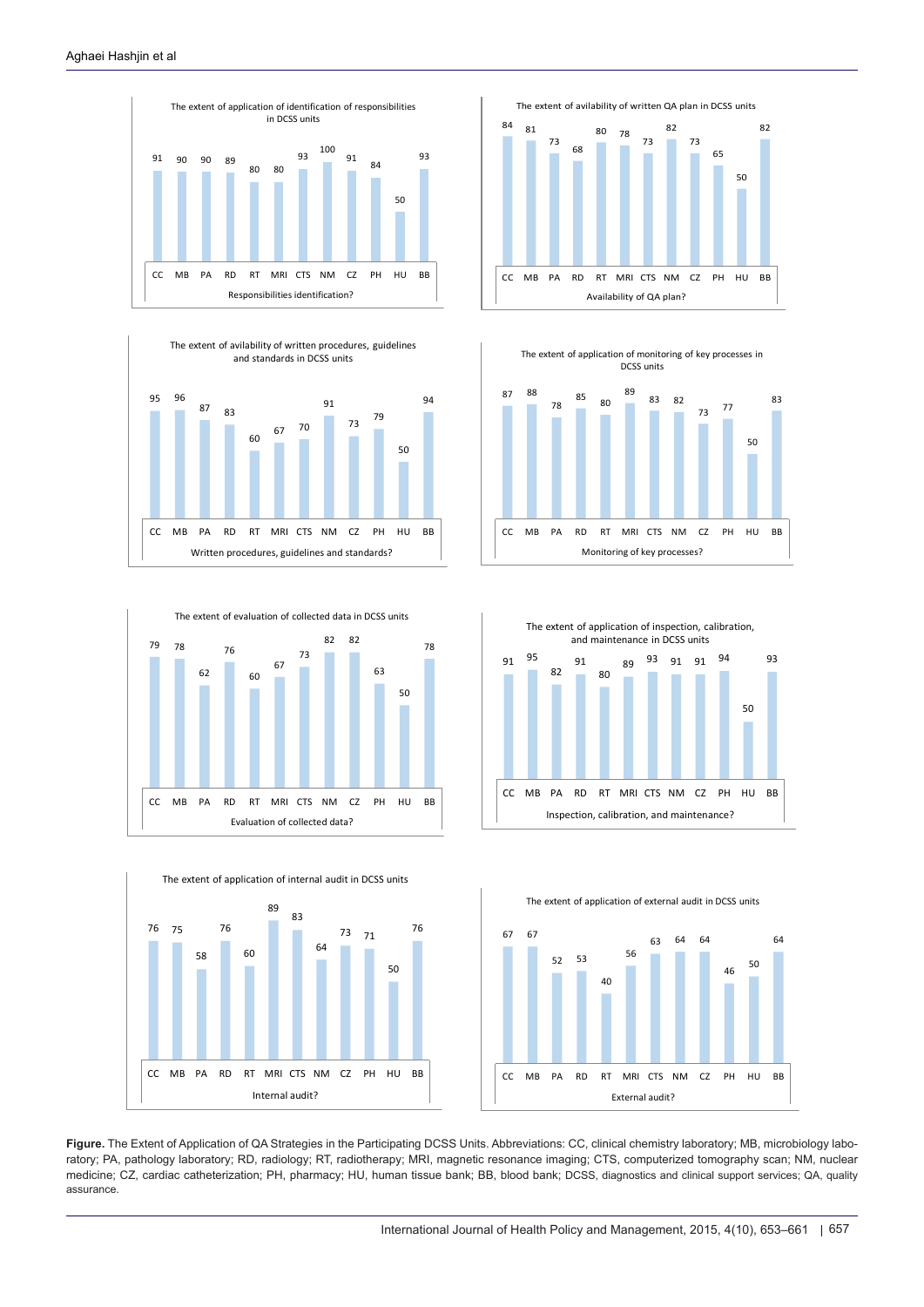







<span id="page-4-0"></span>







**Figure.** The Extent of Application of QA Strategies in the Participating DCSS Units. Abbreviations: CC, clinical chemistry laboratory; MB, microbiology laboratory; PA, pathology laboratory; RD, radiology; RT, radiotherapy; MRI, magnetic resonance imaging; CTS, computerized tomography scan; NM, nuclear medicine; CZ, cardiac catheterization; PH, pharmacy; HU, human tissue bank; BB, blood bank; DCSS, diagnostics and clinical support services; QA, quality assurance.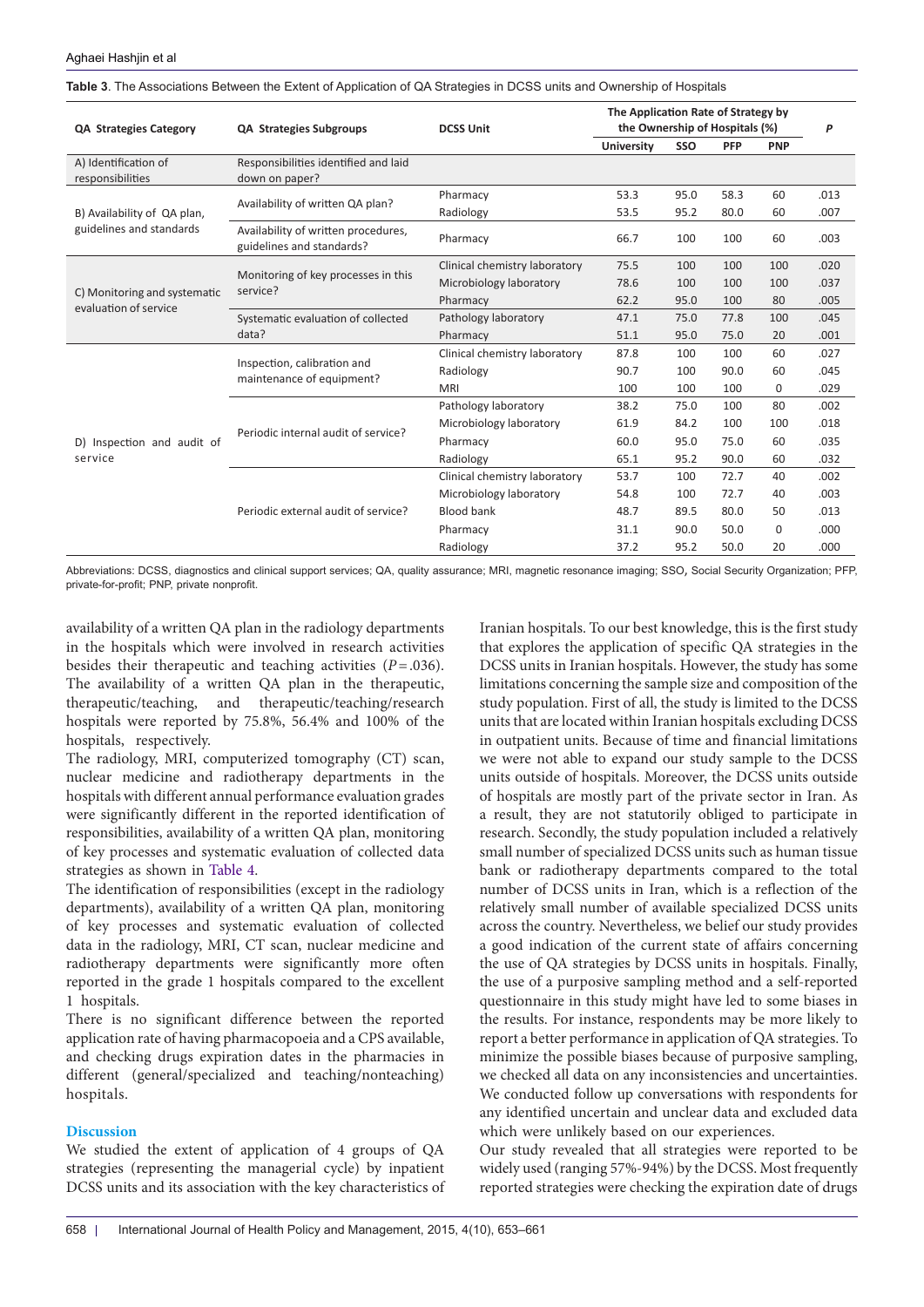| <b>QA Strategies Category</b>                                                                                    | <b>QA Strategies Subgroups</b>                                   | <b>DCSS Unit</b>              | The Application Rate of Strategy by<br>the Ownership of Hospitals (%) |      |                                                                                                                                                                                                                                                            |                         | P    |
|------------------------------------------------------------------------------------------------------------------|------------------------------------------------------------------|-------------------------------|-----------------------------------------------------------------------|------|------------------------------------------------------------------------------------------------------------------------------------------------------------------------------------------------------------------------------------------------------------|-------------------------|------|
|                                                                                                                  |                                                                  |                               | <b>University</b>                                                     | SSO  | PFP<br><b>PNP</b><br>60<br>58.3<br>80.0<br>60<br>100<br>60<br>100<br>100<br>100<br>100<br>100<br>80<br>77.8<br>100<br>75.0<br>20<br>100<br>60<br>90.0<br>60<br>100<br>0<br>80<br>100<br>100<br>100<br>60<br>75.0<br>90.0<br>60<br>72.7<br>40<br>72.7<br>40 |                         |      |
| A) Identification of<br>responsibilities                                                                         | Responsibilities identified and laid<br>down on paper?           |                               |                                                                       |      |                                                                                                                                                                                                                                                            |                         |      |
|                                                                                                                  | Availability of written QA plan?                                 | Pharmacy                      | 53.3                                                                  | 95.0 |                                                                                                                                                                                                                                                            |                         | .013 |
| B) Availability of QA plan,<br>guidelines and standards<br>C) Monitoring and systematic<br>evaluation of service |                                                                  | Radiology                     | 53.5                                                                  | 95.2 |                                                                                                                                                                                                                                                            |                         | .007 |
|                                                                                                                  | Availability of written procedures,<br>guidelines and standards? | Pharmacy                      | 66.7                                                                  | 100  |                                                                                                                                                                                                                                                            | 50<br>$\mathbf 0$<br>20 | .003 |
|                                                                                                                  |                                                                  | Clinical chemistry laboratory | 75.5                                                                  | 100  |                                                                                                                                                                                                                                                            |                         | .020 |
| D) Inspection and audit of<br>service                                                                            | Monitoring of key processes in this<br>service?                  | Microbiology laboratory       | 78.6                                                                  | 100  |                                                                                                                                                                                                                                                            |                         | .037 |
|                                                                                                                  |                                                                  | Pharmacy                      | 62.2                                                                  | 95.0 |                                                                                                                                                                                                                                                            |                         | .005 |
|                                                                                                                  | Systematic evaluation of collected                               | Pathology laboratory          | 47.1                                                                  | 75.0 |                                                                                                                                                                                                                                                            |                         | .045 |
|                                                                                                                  | data?                                                            | Pharmacy                      | 51.1                                                                  | 95.0 |                                                                                                                                                                                                                                                            |                         | .001 |
|                                                                                                                  |                                                                  | Clinical chemistry laboratory | 87.8                                                                  | 100  |                                                                                                                                                                                                                                                            |                         | .027 |
|                                                                                                                  | Inspection, calibration and<br>maintenance of equipment?         | Radiology                     | 90.7                                                                  | 100  |                                                                                                                                                                                                                                                            |                         | .045 |
|                                                                                                                  |                                                                  | <b>MRI</b>                    | 100                                                                   | 100  |                                                                                                                                                                                                                                                            |                         | .029 |
|                                                                                                                  |                                                                  | Pathology laboratory          | 38.2                                                                  | 75.0 | 80.0<br>50.0<br>50.0                                                                                                                                                                                                                                       | .002                    |      |
|                                                                                                                  | Periodic internal audit of service?                              | Microbiology laboratory       | 61.9                                                                  | 84.2 |                                                                                                                                                                                                                                                            |                         | .018 |
|                                                                                                                  |                                                                  | Pharmacy                      | 60.0                                                                  | 95.0 |                                                                                                                                                                                                                                                            |                         | .035 |
|                                                                                                                  |                                                                  | Radiology                     | 65.1                                                                  | 95.2 |                                                                                                                                                                                                                                                            |                         | .032 |
|                                                                                                                  |                                                                  | Clinical chemistry laboratory | 53.7                                                                  | 100  |                                                                                                                                                                                                                                                            |                         | .002 |
|                                                                                                                  |                                                                  | Microbiology laboratory       | 54.8                                                                  | 100  |                                                                                                                                                                                                                                                            |                         | .003 |
|                                                                                                                  | Periodic external audit of service?                              | <b>Blood bank</b>             | 48.7                                                                  | 89.5 |                                                                                                                                                                                                                                                            |                         | .013 |
|                                                                                                                  |                                                                  | Pharmacy                      | 31.1                                                                  | 90.0 |                                                                                                                                                                                                                                                            |                         | .000 |
|                                                                                                                  |                                                                  | Radiology                     | 37.2                                                                  | 95.2 |                                                                                                                                                                                                                                                            |                         | .000 |

<span id="page-5-0"></span>**Table 3**. The Associations Between the Extent of Application of QA Strategies in DCSS units and Ownership of Hospitals

Abbreviations: DCSS, diagnostics and clinical support services; QA, quality assurance; MRI, magnetic resonance imaging; SSO, Social Security Organization; PFP, private-for-profit; PNP, private nonprofit.

availability of a written QA plan in the radiology departments in the hospitals which were involved in research activities besides their therapeutic and teaching activities (*P*=.036). The availability of a written QA plan in the therapeutic, therapeutic/teaching, and therapeutic/teaching/research hospitals were reported by 75.8%, 56.4% and 100% of the hospitals, respectively.

The radiology, MRI, computerized tomography (CT) scan, nuclear medicine and radiotherapy departments in the hospitals with different annual performance evaluation grades were significantly different in the reported identification of responsibilities, availability of a written QA plan, monitoring of key processes and systematic evaluation of collected data strategies as shown in [Table 4](#page-6-0).

The identification of responsibilities (except in the radiology departments), availability of a written QA plan, monitoring of key processes and systematic evaluation of collected data in the radiology, MRI, CT scan, nuclear medicine and radiotherapy departments were significantly more often reported in the grade 1 hospitals compared to the excellent 1 hospitals.

There is no significant difference between the reported application rate of having pharmacopoeia and a CPS available, and checking drugs expiration dates in the pharmacies in different (general/specialized and teaching/nonteaching) hospitals.

# **Discussion**

We studied the extent of application of 4 groups of QA strategies (representing the managerial cycle) by inpatient DCSS units and its association with the key characteristics of Iranian hospitals. To our best knowledge, this is the first study that explores the application of specific QA strategies in the DCSS units in Iranian hospitals. However, the study has some limitations concerning the sample size and composition of the study population. First of all, the study is limited to the DCSS units that are located within Iranian hospitals excluding DCSS in outpatient units. Because of time and financial limitations we were not able to expand our study sample to the DCSS units outside of hospitals. Moreover, the DCSS units outside of hospitals are mostly part of the private sector in Iran. As a result, they are not statutorily obliged to participate in research. Secondly, the study population included a relatively small number of specialized DCSS units such as human tissue bank or radiotherapy departments compared to the total number of DCSS units in Iran, which is a reflection of the relatively small number of available specialized DCSS units across the country. Nevertheless, we belief our study provides a good indication of the current state of affairs concerning the use of QA strategies by DCSS units in hospitals. Finally, the use of a purposive sampling method and a self-reported questionnaire in this study might have led to some biases in the results. For instance, respondents may be more likely to report a better performance in application of QA strategies. To minimize the possible biases because of purposive sampling, we checked all data on any inconsistencies and uncertainties. We conducted follow up conversations with respondents for any identified uncertain and unclear data and excluded data which were unlikely based on our experiences.

Our study revealed that all strategies were reported to be widely used (ranging 57%-94%) by the DCSS. Most frequently reported strategies were checking the expiration date of drugs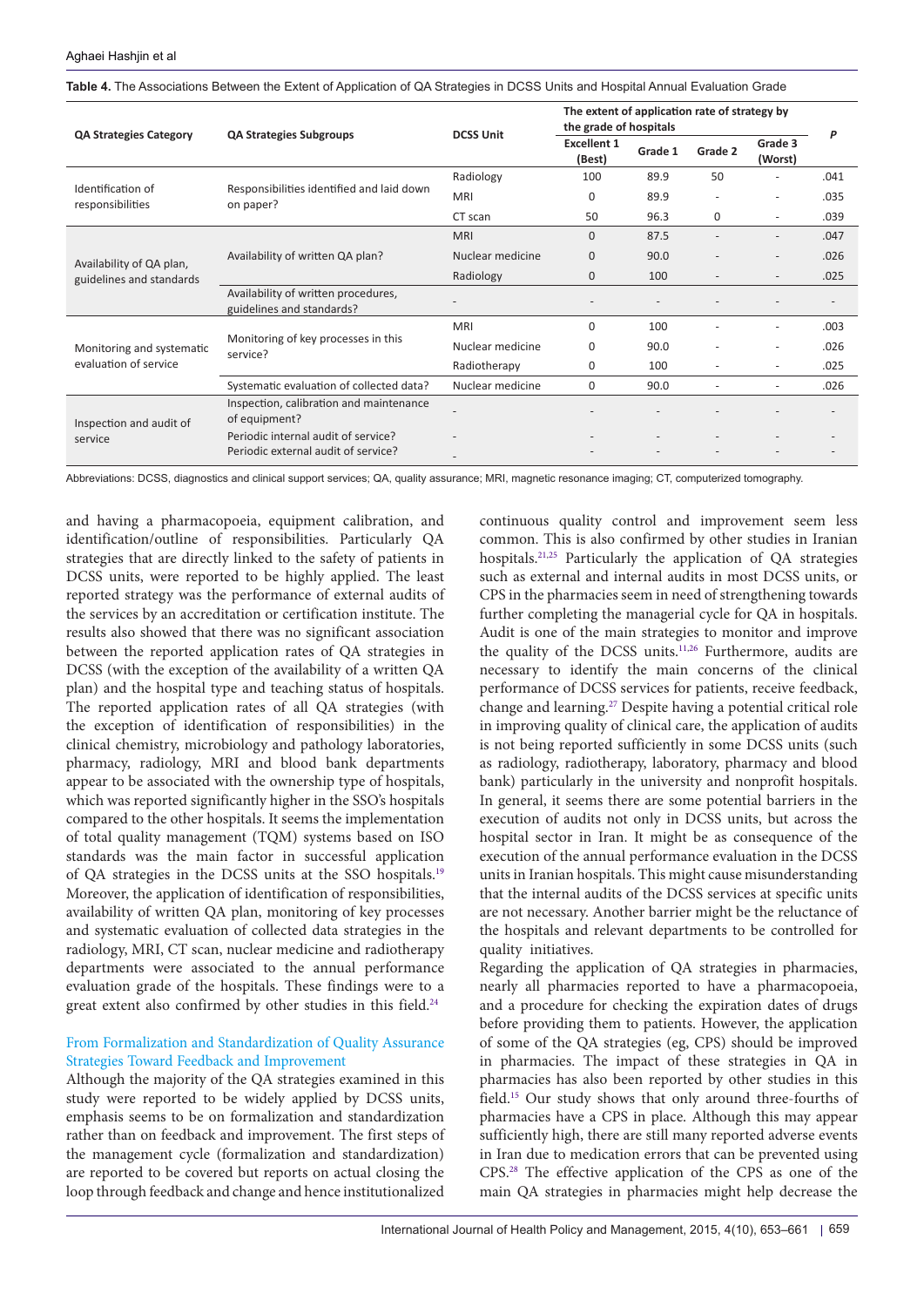|                                                      |                                                                  | <b>DCSS Unit</b> | The extent of application rate of strategy by<br>the grade of hospitals |         |         |                                                                                                              |      |
|------------------------------------------------------|------------------------------------------------------------------|------------------|-------------------------------------------------------------------------|---------|---------|--------------------------------------------------------------------------------------------------------------|------|
| <b>QA Strategies Category</b>                        | <b>QA Strategies Subgroups</b>                                   |                  | <b>Excellent 1</b><br>(Best)                                            | Grade 1 | Grade 2 | Grade 3<br>(Worst)                                                                                           | P    |
|                                                      |                                                                  | Radiology        | 100                                                                     | 89.9    | 50      |                                                                                                              | .041 |
| Identification of<br>responsibilities                | Responsibilities identified and laid down<br>on paper?           | <b>MRI</b>       | 0                                                                       | 89.9    |         |                                                                                                              | .035 |
|                                                      |                                                                  | CT scan          | 50                                                                      | 96.3    | 0       | $\overline{\phantom{a}}$                                                                                     | .039 |
|                                                      |                                                                  | <b>MRI</b>       | $\mathbf{0}$                                                            | 87.5    |         | $\overline{\phantom{a}}$<br>$\overline{\phantom{a}}$<br>$\overline{\phantom{a}}$<br>$\overline{\phantom{a}}$ | .047 |
| Availability of QA plan,<br>guidelines and standards | Availability of written QA plan?                                 | Nuclear medicine | 0                                                                       | 90.0    |         |                                                                                                              | .026 |
|                                                      |                                                                  | Radiology        | 0                                                                       | 100     |         |                                                                                                              | .025 |
|                                                      | Availability of written procedures,<br>guidelines and standards? |                  |                                                                         |         |         |                                                                                                              |      |
|                                                      |                                                                  | <b>MRI</b>       | $\Omega$                                                                | 100     |         |                                                                                                              | .003 |
| Monitoring and systematic<br>evaluation of service   | Monitoring of key processes in this<br>service?                  | Nuclear medicine | 0                                                                       | 90.0    |         |                                                                                                              | .026 |
|                                                      |                                                                  | Radiotherapy     | 0                                                                       | 100     | ٠       |                                                                                                              | .025 |
|                                                      | Systematic evaluation of collected data?                         | Nuclear medicine | $\mathbf{0}$                                                            | 90.0    |         |                                                                                                              | .026 |
| Inspection and audit of                              | Inspection, calibration and maintenance<br>of equipment?         |                  |                                                                         |         |         |                                                                                                              |      |
| service                                              | Periodic internal audit of service?                              |                  |                                                                         |         |         |                                                                                                              |      |
|                                                      | Periodic external audit of service?                              |                  |                                                                         |         |         |                                                                                                              |      |

<span id="page-6-0"></span>**Table 4.** The Associations Between the Extent of Application of QA Strategies in DCSS Units and Hospital Annual Evaluation Grade

Abbreviations: DCSS, diagnostics and clinical support services; QA, quality assurance; MRI, magnetic resonance imaging; CT, computerized tomography.

and having a pharmacopoeia, equipment calibration, and identification/outline of responsibilities. Particularly QA strategies that are directly linked to the safety of patients in DCSS units, were reported to be highly applied. The least reported strategy was the performance of external audits of the services by an accreditation or certification institute. The results also showed that there was no significant association between the reported application rates of QA strategies in DCSS (with the exception of the availability of a written QA plan) and the hospital type and teaching status of hospitals. The reported application rates of all QA strategies (with the exception of identification of responsibilities) in the clinical chemistry, microbiology and pathology laboratories, pharmacy, radiology, MRI and blood bank departments appear to be associated with the ownership type of hospitals, which was reported significantly higher in the SSO's hospitals compared to the other hospitals. It seems the implementation of total quality management (TQM) systems based on ISO standards was the main factor in successful application of QA strategies in the DCSS units at the SSO hospitals.[19](#page-8-12) Moreover, the application of identification of responsibilities, availability of written QA plan, monitoring of key processes and systematic evaluation of collected data strategies in the radiology, MRI, CT scan, nuclear medicine and radiotherapy departments were associated to the annual performance evaluation grade of the hospitals. These findings were to a great extent also confirmed by other studies in this field.<sup>[24](#page-8-17)</sup>

# From Formalization and Standardization of Quality Assurance Strategies Toward Feedback and Improvement

Although the majority of the QA strategies examined in this study were reported to be widely applied by DCSS units, emphasis seems to be on formalization and standardization rather than on feedback and improvement. The first steps of the management cycle (formalization and standardization) are reported to be covered but reports on actual closing the loop through feedback and change and hence institutionalized

continuous quality control and improvement seem less common. This is also confirmed by other studies in Iranian hospitals.[21](#page-8-14),[25](#page-8-18) Particularly the application of QA strategies such as external and internal audits in most DCSS units, or CPS in the pharmacies seem in need of strengthening towards further completing the managerial cycle for QA in hospitals. Audit is one of the main strategies to monitor and improve the quality of the DCSS units.<sup>11,26</sup> Furthermore, audits are necessary to identify the main concerns of the clinical performance of DCSS services for patients, receive feedback, change and learning[.27](#page-8-20) Despite having a potential critical role in improving quality of clinical care, the application of audits is not being reported sufficiently in some DCSS units (such as radiology, radiotherapy, laboratory, pharmacy and blood bank) particularly in the university and nonprofit hospitals. In general, it seems there are some potential barriers in the execution of audits not only in DCSS units, but across the hospital sector in Iran. It might be as consequence of the execution of the annual performance evaluation in the DCSS units in Iranian hospitals. This might cause misunderstanding that the internal audits of the DCSS services at specific units are not necessary. Another barrier might be the reluctance of the hospitals and relevant departments to be controlled for quality initiatives.

Regarding the application of QA strategies in pharmacies, nearly all pharmacies reported to have a pharmacopoeia, and a procedure for checking the expiration dates of drugs before providing them to patients. However, the application of some of the QA strategies (eg, CPS) should be improved in pharmacies. The impact of these strategies in QA in pharmacies has also been reported by other studies in this field.[15](#page-8-8) Our study shows that only around three-fourths of pharmacies have a CPS in place. Although this may appear sufficiently high, there are still many reported adverse events in Iran due to medication errors that can be prevented using CPS[.28](#page-8-21) The effective application of the CPS as one of the main QA strategies in pharmacies might help decrease the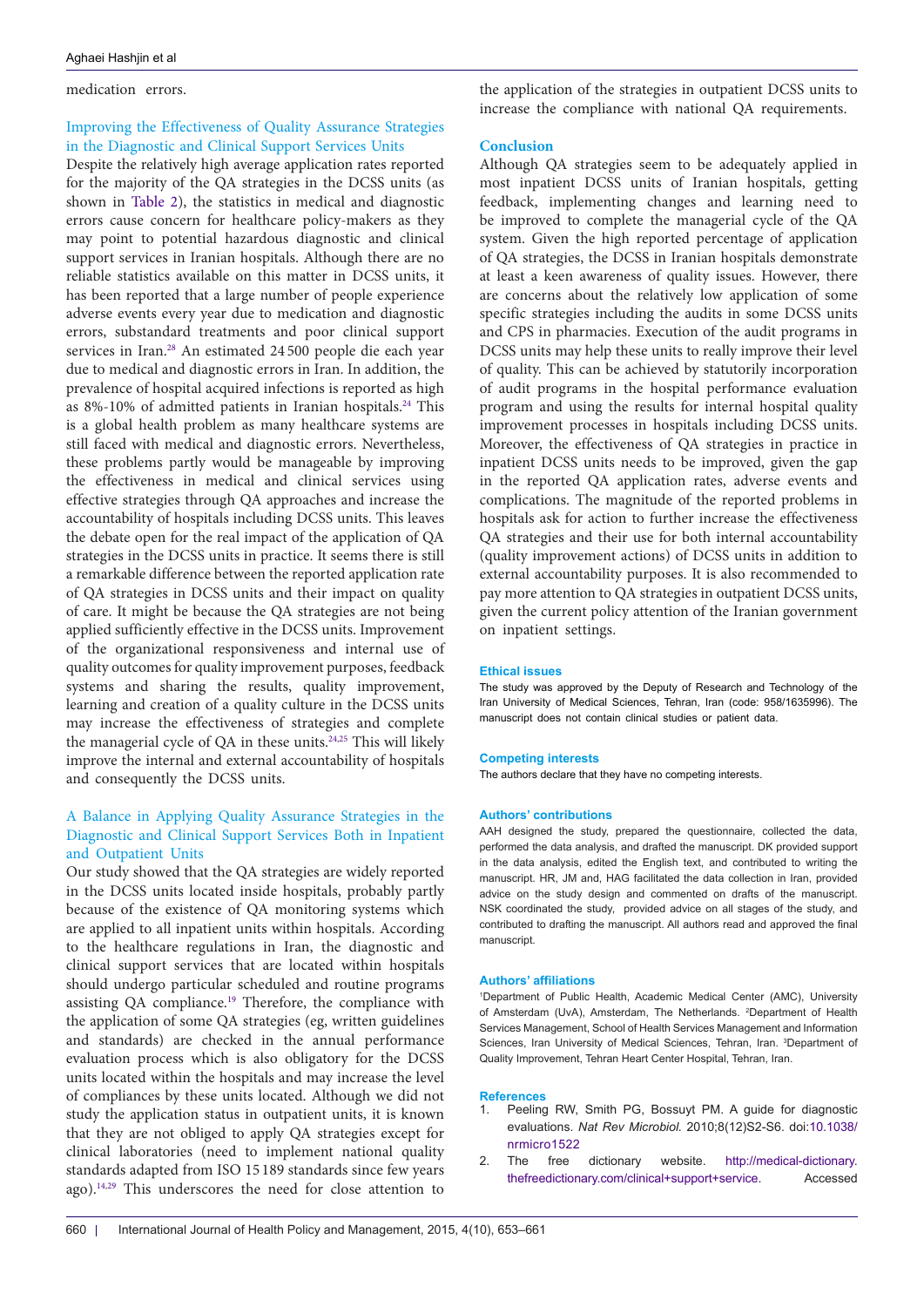#### medication errors.

# Improving the Effectiveness of Quality Assurance Strategies in the Diagnostic and Clinical Support Services Units

Despite the relatively high average application rates reported for the majority of the QA strategies in the DCSS units (as shown in [Table 2\)](#page-3-0), the statistics in medical and diagnostic errors cause concern for healthcare policy-makers as they may point to potential hazardous diagnostic and clinical support services in Iranian hospitals. Although there are no reliable statistics available on this matter in DCSS units, it has been reported that a large number of people experience adverse events every year due to medication and diagnostic errors, substandard treatments and poor clinical support services in Iran.<sup>[28](#page-8-21)</sup> An estimated 24 500 people die each year due to medical and diagnostic errors in Iran. In addition, the prevalence of hospital acquired infections is reported as high as 8%-10% of admitted patients in Iranian hospitals.<sup>24</sup> This is a global health problem as many healthcare systems are still faced with medical and diagnostic errors. Nevertheless, these problems partly would be manageable by improving the effectiveness in medical and clinical services using effective strategies through QA approaches and increase the accountability of hospitals including DCSS units. This leaves the debate open for the real impact of the application of QA strategies in the DCSS units in practice. It seems there is still a remarkable difference between the reported application rate of QA strategies in DCSS units and their impact on quality of care. It might be because the QA strategies are not being applied sufficiently effective in the DCSS units. Improvement of the organizational responsiveness and internal use of quality outcomes for quality improvement purposes, feedback systems and sharing the results, quality improvement, learning and creation of a quality culture in the DCSS units may increase the effectiveness of strategies and complete the managerial cycle of QA in these units.[24](#page-8-17),[25](#page-8-18) This will likely improve the internal and external accountability of hospitals and consequently the DCSS units.

# A Balance in Applying Quality Assurance Strategies in the Diagnostic and Clinical Support Services Both in Inpatient and Outpatient Units

Our study showed that the QA strategies are widely reported in the DCSS units located inside hospitals, probably partly because of the existence of QA monitoring systems which are applied to all inpatient units within hospitals. According to the healthcare regulations in Iran, the diagnostic and clinical support services that are located within hospitals should undergo particular scheduled and routine programs assisting QA compliance.<sup>[19](#page-8-12)</sup> Therefore, the compliance with the application of some QA strategies (eg, written guidelines and standards) are checked in the annual performance evaluation process which is also obligatory for the DCSS units located within the hospitals and may increase the level of compliances by these units located. Although we did not study the application status in outpatient units, it is known that they are not obliged to apply QA strategies except for clinical laboratories (need to implement national quality standards adapted from ISO 15 189 standards since few years ago).<sup>14,29</sup> This underscores the need for close attention to

the application of the strategies in outpatient DCSS units to increase the compliance with national QA requirements.

#### **Conclusion**

Although QA strategies seem to be adequately applied in most inpatient DCSS units of Iranian hospitals, getting feedback, implementing changes and learning need to be improved to complete the managerial cycle of the QA system. Given the high reported percentage of application of QA strategies, the DCSS in Iranian hospitals demonstrate at least a keen awareness of quality issues. However, there are concerns about the relatively low application of some specific strategies including the audits in some DCSS units and CPS in pharmacies. Execution of the audit programs in DCSS units may help these units to really improve their level of quality. This can be achieved by statutorily incorporation of audit programs in the hospital performance evaluation program and using the results for internal hospital quality improvement processes in hospitals including DCSS units. Moreover, the effectiveness of QA strategies in practice in inpatient DCSS units needs to be improved, given the gap in the reported QA application rates, adverse events and complications. The magnitude of the reported problems in hospitals ask for action to further increase the effectiveness QA strategies and their use for both internal accountability (quality improvement actions) of DCSS units in addition to external accountability purposes. It is also recommended to pay more attention to QA strategies in outpatient DCSS units, given the current policy attention of the Iranian government on inpatient settings.

#### **Ethical issues**

The study was approved by the Deputy of Research and Technology of the Iran University of Medical Sciences, Tehran, Iran (code: 958/1635996). The manuscript does not contain clinical studies or patient data.

#### **Competing interests**

The authors declare that they have no competing interests.

#### **Authors' contributions**

AAH designed the study, prepared the questionnaire, collected the data, performed the data analysis, and drafted the manuscript. DK provided support in the data analysis, edited the English text, and contributed to writing the manuscript. HR, JM and, HAG facilitated the data collection in Iran, provided advice on the study design and commented on drafts of the manuscript. NSK coordinated the study, provided advice on all stages of the study, and contributed to drafting the manuscript. All authors read and approved the final manuscript.

#### **Authors' affiliations**

<span id="page-7-2"></span><span id="page-7-1"></span><span id="page-7-0"></span>1 Department of Public Health, Academic Medical Center (AMC), University of Amsterdam (UvA), Amsterdam, The Netherlands. <sup>2</sup>Department of Health Services Management, School of Health Services Management and Information Sciences, Iran University of Medical Sciences, Tehran, Iran. 3 Department of Quality Improvement, Tehran Heart Center Hospital, Tehran, Iran.

#### **References**

- <span id="page-7-3"></span>Peeling RW, Smith PG, Bossuyt PM. A guide for diagnostic evaluations. *Nat Rev Microbiol.* 2010;8(12)S2-S6. doi:[10.1038/](http://dx.doi.org/10.1038/nrmicro1522) [nrmicro1522](http://dx.doi.org/10.1038/nrmicro1522)
- <span id="page-7-4"></span>2. The free dictionary website. [http://medical-dictionary.](http://medical-dictionary.thefreedictionary.com/ clinical+support+service) [thefreedictionary.com/clinical+support+service.](http://medical-dictionary.thefreedictionary.com/ clinical+support+service) Accessed